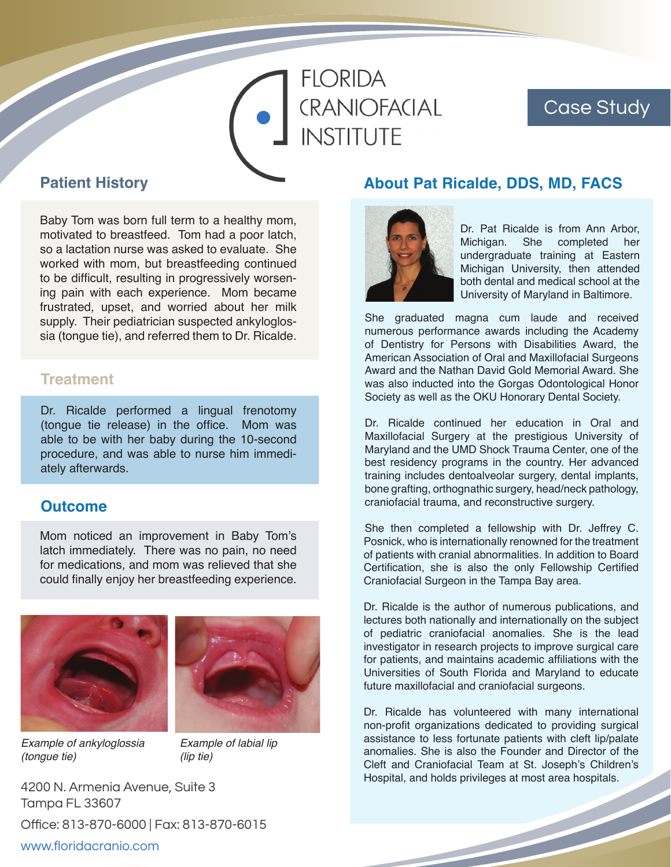# **FLORIDA** CRANIOFACIAL **INSTITUTE**

# Case Study

## **Patient History**

Baby Tom was born full term to a healthy mom, motivated to breastfeed. Tom had a poor latch, so a lactation nurse was asked to evaluate. She worked with mom, but breastfeeding continued to be difficult, resulting in progressively worsening pain with each experience. Mom became frustrated, upset, and worried about her milk supply. Their pediatrician suspected ankyloglossia (tongue tie), and referred them to Dr. Ricalde.

## **Treatment**

Dr. Ricalde performed a lingual frenotomy (tongue tie release) in the office. Mom was able to be with her baby during the 10-second procedure, and was able to nurse him immediately afterwards.

### **Outcome**

Mom noticed an improvement in Baby Tom's latch immediately. There was no pain, no need for medications, and mom was relieved that she could finally enjoy her breastfeeding experience.



*Example of ankyloglossia (tongue tie)*



*Example of labial lip (lip tie)*

4200 N. Armenia Avenue, Suite 3 Tampa FL 33607 Office: 813-870-6000 | Fax: 813-870-6015 www.floridacranio.com

## **About Pat Ricalde, DDS, MD, FACS**



Dr. Pat Ricalde is from Ann Arbor, Michigan. She completed her undergraduate training at Eastern Michigan University, then attended both dental and medical school at the University of Maryland in Baltimore.

She graduated magna cum laude and received numerous performance awards including the Academy of Dentistry for Persons with Disabilities Award, the American Association of Oral and Maxillofacial Surgeons Award and the Nathan David Gold Memorial Award. She was also inducted into the Gorgas Odontological Honor Society as well as the OKU Honorary Dental Society.

Dr. Ricalde continued her education in Oral and Maxillofacial Surgery at the prestigious University of Maryland and the UMD Shock Trauma Center, one of the best residency programs in the country. Her advanced training includes dentoalveolar surgery, dental implants, bone grafting, orthognathic surgery, head/neck pathology, craniofacial trauma, and reconstructive surgery.

She then completed a fellowship with Dr. Jeffrey C. Posnick, who is internationally renowned for the treatment of patients with cranial abnormalities. In addition to Board Certification, she is also the only Fellowship Certified Craniofacial Surgeon in the Tampa Bay area.

Dr. Ricalde is the author of numerous publications, and lectures both nationally and internationally on the subject of pediatric craniofacial anomalies. She is the lead investigator in research projects to improve surgical care for patients, and maintains academic affiliations with the Universities of South Florida and Maryland to educate future maxillofacial and craniofacial surgeons.

Dr. Ricalde has volunteered with many international non-profit organizations dedicated to providing surgical assistance to less fortunate patients with cleft lip/palate anomalies. She is also the Founder and Director of the Cleft and Craniofacial Team at St. Joseph's Children's Hospital, and holds privileges at most area hospitals.